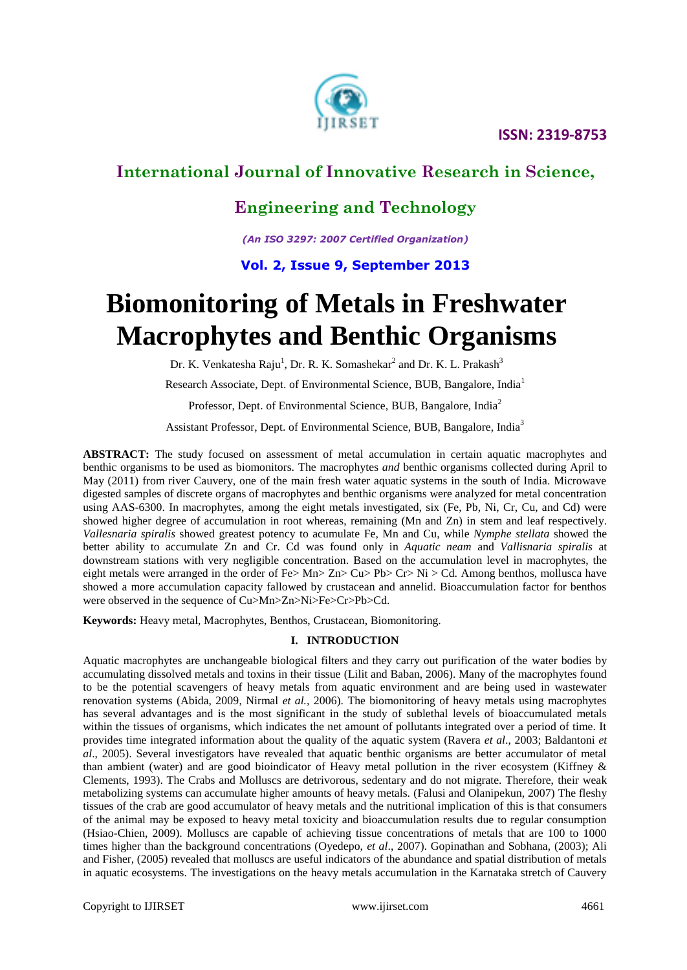

### **Engineering and Technology**

*(An ISO 3297: 2007 Certified Organization)*

### **Vol. 2, Issue 9, September 2013**

# **Biomonitoring of Metals in Freshwater Macrophytes and Benthic Organisms**

Dr. K. Venkatesha Raju<sup>1</sup>, Dr. R. K. Somashekar<sup>2</sup> and Dr. K. L. Prakash<sup>3</sup>

Research Associate, Dept. of Environmental Science, BUB, Bangalore, India<sup>1</sup>

Professor, Dept. of Environmental Science, BUB, Bangalore, India<sup>2</sup>

Assistant Professor, Dept. of Environmental Science, BUB, Bangalore, India<sup>3</sup>

**ABSTRACT:** The study focused on assessment of metal accumulation in certain aquatic macrophytes and benthic organisms to be used as biomonitors. The macrophytes *and* benthic organisms collected during April to May (2011) from river Cauvery, one of the main fresh water aquatic systems in the south of India. Microwave digested samples of discrete organs of macrophytes and benthic organisms were analyzed for metal concentration using AAS-6300. In macrophytes, among the eight metals investigated, six (Fe, Pb, Ni, Cr, Cu, and Cd) were showed higher degree of accumulation in root whereas, remaining (Mn and Zn) in stem and leaf respectively. *Vallesnaria spiralis* showed greatest potency to acumulate Fe, Mn and Cu, while *Nymphe stellata* showed the better ability to accumulate Zn and Cr. Cd was found only in *Aquatic neam* and *Vallisnaria spiralis* at downstream stations with very negligible concentration. Based on the accumulation level in macrophytes, the eight metals were arranged in the order of Fe> Mn> Zn> Cu> Pb> Cr> Ni > Cd. Among benthos, mollusca have showed a more accumulation capacity fallowed by crustacean and annelid. Bioaccumulation factor for benthos were observed in the sequence of Cu>Mn>Zn>Ni>Fe>Cr>Pb>Cd.

**Keywords:** Heavy metal, Macrophytes, Benthos, Crustacean, Biomonitoring.

#### **I. INTRODUCTION**

Aquatic macrophytes are unchangeable biological filters and they carry out purification of the water bodies by accumulating dissolved metals and toxins in their tissue (Lilit and Baban, 2006). Many of the macrophytes found to be the potential scavengers of heavy metals from aquatic environment and are being used in wastewater renovation systems (Abida, 2009, Nirmal *et al.,* 2006). The biomonitoring of heavy metals using macrophytes has several advantages and is the most significant in the study of sublethal levels of bioaccumulated metals within the tissues of organisms, which indicates the net amount of pollutants integrated over a period of time. It provides time integrated information about the quality of the aquatic system (Ravera *et al*., 2003; Baldantoni *et al*., 2005). Several investigators have revealed that aquatic benthic organisms are better accumulator of metal than ambient (water) and are good bioindicator of Heavy metal pollution in the river ecosystem (Kiffney & Clements, 1993). The Crabs and Molluscs are detrivorous, sedentary and do not migrate. Therefore, their weak metabolizing systems can accumulate higher amounts of heavy metals. (Falusi and Olanipekun, 2007) The fleshy tissues of the crab are good accumulator of heavy metals and the nutritional implication of this is that consumers of the animal may be exposed to heavy metal toxicity and bioaccumulation results due to regular consumption (Hsiao-Chien, 2009). Molluscs are capable of achieving tissue concentrations of metals that are 100 to 1000 times higher than the background concentrations (Oyedepo, *et al*., 2007). Gopinathan and Sobhana, (2003); Ali and Fisher, (2005) revealed that molluscs are useful indicators of the abundance and spatial distribution of metals in aquatic ecosystems. The investigations on the heavy metals accumulation in the Karnataka stretch of Cauvery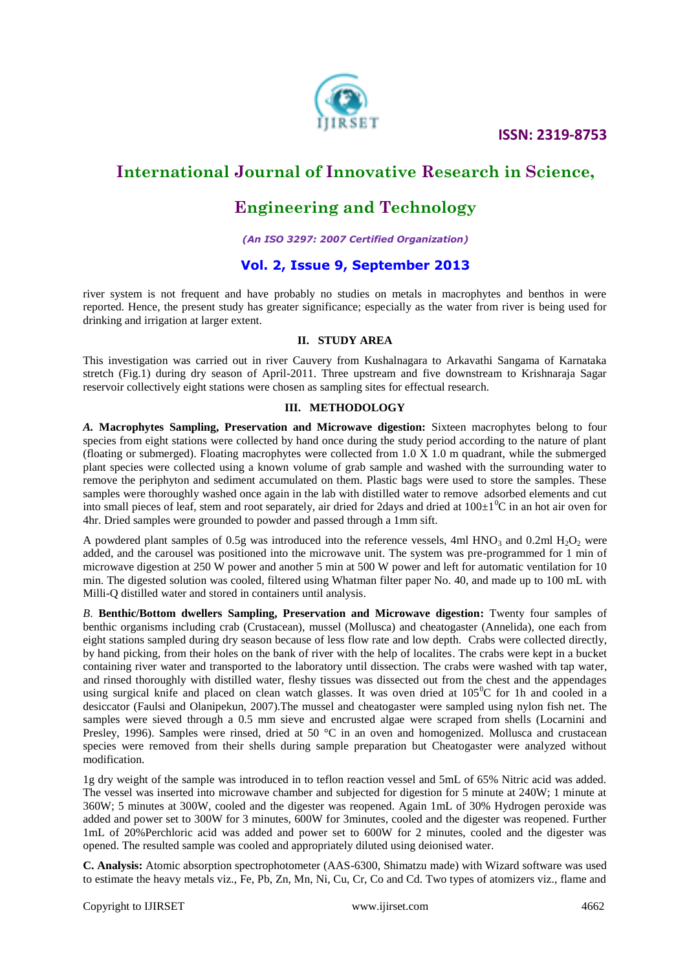

### **Engineering and Technology**

*(An ISO 3297: 2007 Certified Organization)*

#### **Vol. 2, Issue 9, September 2013**

river system is not frequent and have probably no studies on metals in macrophytes and benthos in were reported. Hence, the present study has greater significance; especially as the water from river is being used for drinking and irrigation at larger extent.

#### **II. STUDY AREA**

This investigation was carried out in river Cauvery from Kushalnagara to Arkavathi Sangama of Karnataka stretch (Fig.1) during dry season of April-2011. Three upstream and five downstream to Krishnaraja Sagar reservoir collectively eight stations were chosen as sampling sites for effectual research.

#### **III. METHODOLOGY**

*A.* **Macrophytes Sampling, Preservation and Microwave digestion:** Sixteen macrophytes belong to four species from eight stations were collected by hand once during the study period according to the nature of plant (floating or submerged). Floating macrophytes were collected from 1.0 X 1.0 m quadrant, while the submerged plant species were collected using a known volume of grab sample and washed with the surrounding water to remove the periphyton and sediment accumulated on them. Plastic bags were used to store the samples. These samples were thoroughly washed once again in the lab with distilled water to remove adsorbed elements and cut into small pieces of leaf, stem and root separately, air dried for 2days and dried at  $100\pm10^{\circ}\text{C}$  in an hot air oven for 4hr. Dried samples were grounded to powder and passed through a 1mm sift.

A powdered plant samples of 0.5g was introduced into the reference vessels, 4ml  $HNO<sub>3</sub>$  and 0.2ml  $H<sub>2</sub>O<sub>2</sub>$  were added, and the carousel was positioned into the microwave unit. The system was pre-programmed for 1 min of microwave digestion at 250 W power and another 5 min at 500 W power and left for automatic ventilation for 10 min. The digested solution was cooled, filtered using Whatman filter paper No. 40, and made up to 100 mL with Milli-Q distilled water and stored in containers until analysis.

*B*. **Benthic/Bottom dwellers Sampling, Preservation and Microwave digestion:** Twenty four samples of benthic organisms including crab (Crustacean), mussel (Mollusca) and cheatogaster (Annelida), one each from eight stations sampled during dry season because of less flow rate and low depth. Crabs were collected directly, by hand picking, from their holes on the bank of river with the help of localites. The crabs were kept in a bucket containing river water and transported to the laboratory until dissection. The crabs were washed with tap water, and rinsed thoroughly with distilled water, fleshy tissues was dissected out from the chest and the appendages using surgical knife and placed on clean watch glasses. It was oven dried at  $105^{\circ}$ C for 1h and cooled in a desiccator (Faulsi and Olanipekun, 2007).The mussel and cheatogaster were sampled using nylon fish net. The samples were sieved through a 0.5 mm sieve and encrusted algae were scraped from shells (Locarnini and Presley, 1996). Samples were rinsed, dried at 50 °C in an oven and homogenized. Mollusca and crustacean species were removed from their shells during sample preparation but Cheatogaster were analyzed without modification.

1g dry weight of the sample was introduced in to teflon reaction vessel and 5mL of 65% Nitric acid was added. The vessel was inserted into microwave chamber and subjected for digestion for 5 minute at 240W; 1 minute at 360W; 5 minutes at 300W, cooled and the digester was reopened. Again 1mL of 30% Hydrogen peroxide was added and power set to 300W for 3 minutes, 600W for 3minutes, cooled and the digester was reopened. Further 1mL of 20%Perchloric acid was added and power set to 600W for 2 minutes, cooled and the digester was opened. The resulted sample was cooled and appropriately diluted using deionised water.

**C. Analysis:** Atomic absorption spectrophotometer (AAS-6300, Shimatzu made) with Wizard software was used to estimate the heavy metals viz., Fe, Pb, Zn, Mn, Ni, Cu, Cr, Co and Cd. Two types of atomizers viz., flame and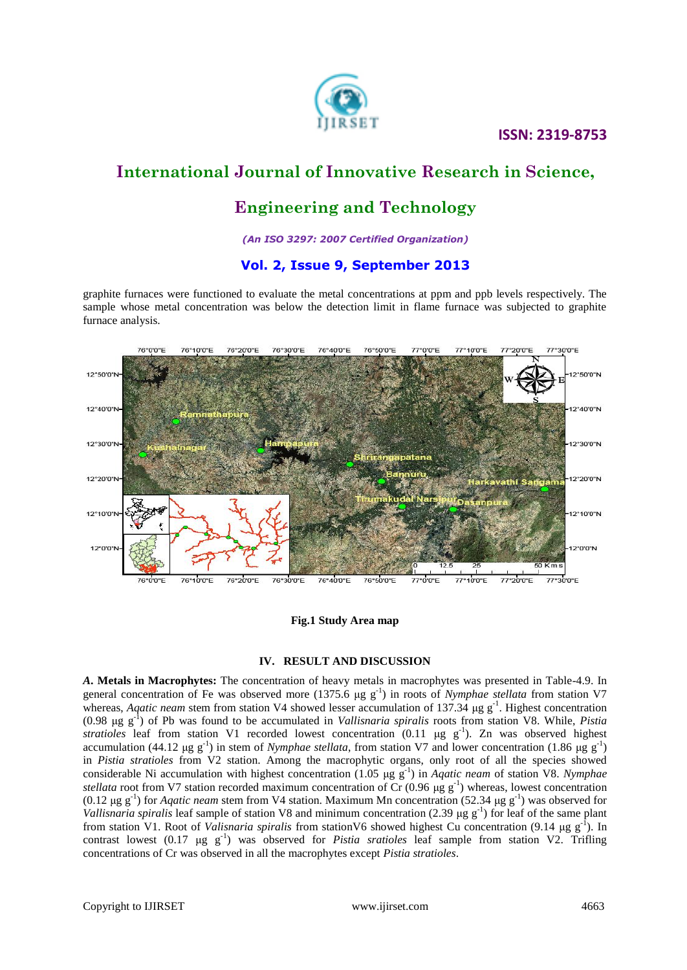#### **ISSN: 2319-8753**



### **International Journal of Innovative Research in Science,**

# **Engineering and Technology**

*(An ISO 3297: 2007 Certified Organization)*

#### **Vol. 2, Issue 9, September 2013**

graphite furnaces were functioned to evaluate the metal concentrations at ppm and ppb levels respectively. The sample whose metal concentration was below the detection limit in flame furnace was subjected to graphite furnace analysis.



**Fig.1 Study Area map**

#### **IV. RESULT AND DISCUSSION**

*A***. Metals in Macrophytes:** The concentration of heavy metals in macrophytes was presented in Table-4.9. In general concentration of Fe was observed more (1375.6 μg g<sup>-1</sup>) in roots of *Nymphae stellata* from station V7 whereas, *Aqatic neam* stem from station V4 showed lesser accumulation of 137.34 μg g<sup>-1</sup>. Highest concentration (0.98 μg g-1 ) of Pb was found to be accumulated in *Vallisnaria spiralis* roots from station V8. While, *Pistia stratioles* leaf from station V1 recorded lowest concentration  $(0.11 \text{ µg g}^{-1})$ . Zn was observed highest accumulation (44.12 μg g<sup>-1</sup>) in stem of *Nymphae stellata*, from station V7 and lower concentration (1.86 μg g<sup>-1</sup>) in *Pistia stratioles* from V2 station. Among the macrophytic organs, only root of all the species showed considerable Ni accumulation with highest concentration (1.05 μg g-1 ) in *Aqatic neam* of station V8. *Nymphae stellata* root from V7 station recorded maximum concentration of Cr  $(0.96 \mu g g^{-1})$  whereas, lowest concentration (0.12 μg g<sup>-1</sup>) for *Aqatic neam* stem from V4 station. Maximum Mn concentration (52.34 μg g<sup>-1</sup>) was observed for *Vallisnaria spiralis* leaf sample of station V8 and minimum concentration (2.39  $\mu$ g g<sup>-1</sup>) for leaf of the same plant from station V1. Root of *Valisnaria spiralis* from stationV6 showed highest Cu concentration (9.14 μg g-1 ). In contrast lowest  $(0.17 \text{ µg g}^{-1})$  was observed for *Pistia sratioles* leaf sample from station V2. Trifling concentrations of Cr was observed in all the macrophytes except *Pistia stratioles*.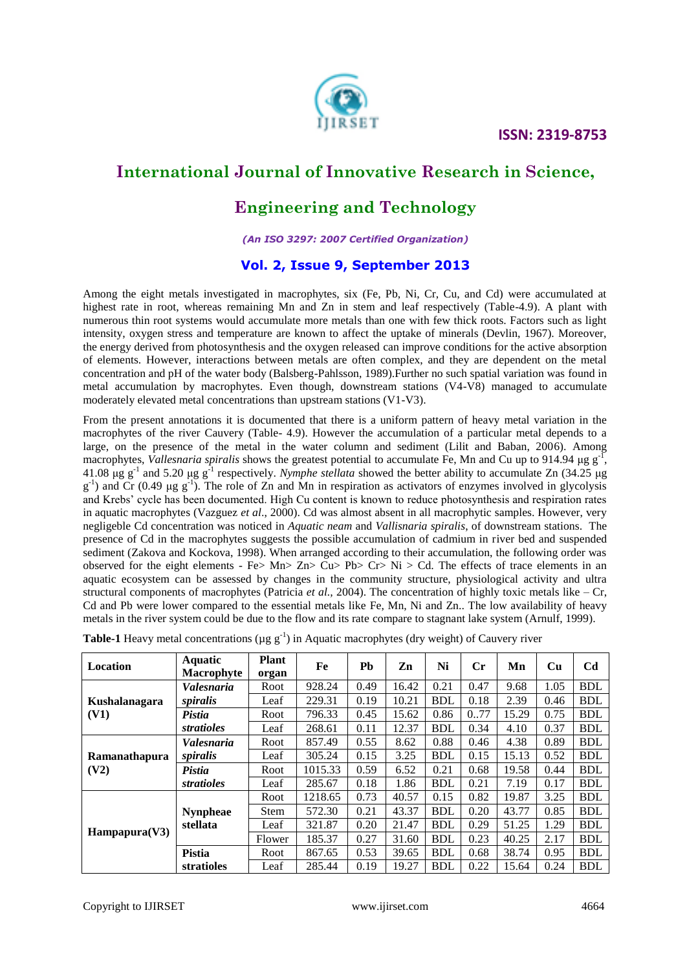

### **Engineering and Technology**

*(An ISO 3297: 2007 Certified Organization)*

### **Vol. 2, Issue 9, September 2013**

Among the eight metals investigated in macrophytes, six (Fe, Pb, Ni, Cr, Cu, and Cd) were accumulated at highest rate in root, whereas remaining Mn and Zn in stem and leaf respectively (Table-4.9). A plant with numerous thin root systems would accumulate more metals than one with few thick roots. Factors such as light intensity, oxygen stress and temperature are known to affect the uptake of minerals (Devlin, 1967). Moreover, the energy derived from photosynthesis and the oxygen released can improve conditions for the active absorption of elements. However, interactions between metals are often complex, and they are dependent on the metal concentration and pH of the water body (Balsberg-Pahlsson, 1989).Further no such spatial variation was found in metal accumulation by macrophytes. Even though, downstream stations (V4-V8) managed to accumulate moderately elevated metal concentrations than upstream stations (V1-V3).

From the present annotations it is documented that there is a uniform pattern of heavy metal variation in the macrophytes of the river Cauvery (Table- 4.9). However the accumulation of a particular metal depends to a large, on the presence of the metal in the water column and sediment (Lilit and Baban, 2006). Among macrophytes, *Vallesnaria spiralis* shows the greatest potential to accumulate Fe, Mn and Cu up to 914.94 μg g<sup>-1</sup>, 41.08 μg g-1 and 5.20 μg g-1 respectively. *Nymphe stellata* showed the better ability to accumulate Zn (34.25 μg  $g^{-1}$ ) and Cr (0.49  $\mu$ g  $g^{-1}$ ). The role of Zn and Mn in respiration as activators of enzymes involved in glycolysis and Krebs' cycle has been documented. High Cu content is known to reduce photosynthesis and respiration rates in aquatic macrophytes (Vazguez *et al*., 2000). Cd was almost absent in all macrophytic samples. However, very negligeble Cd concentration was noticed in *Aquatic neam* and *Vallisnaria spiralis*, of downstream stations. The presence of Cd in the macrophytes suggests the possible accumulation of cadmium in river bed and suspended sediment (Zakova and Kockova, 1998). When arranged according to their accumulation, the following order was observed for the eight elements - Fe> Mn> Zn> Cu> Pb> Cr> Ni > Cd. The effects of trace elements in an aquatic ecosystem can be assessed by changes in the community structure, physiological activity and ultra structural components of macrophytes (Patricia *et al.,* 2004). The concentration of highly toxic metals like – Cr, Cd and Pb were lower compared to the essential metals like Fe, Mn, Ni and Zn.. The low availability of heavy metals in the river system could be due to the flow and its rate compare to stagnant lake system (Arnulf, 1999).

| Location               | <b>Aquatic</b><br><b>Macrophyte</b> | <b>Plant</b><br>organ | Fe      | Pb   | Zn    | Ni         | $\mathbf{C}$ r | Mn    | <b>Cu</b> | C <sub>d</sub> |
|------------------------|-------------------------------------|-----------------------|---------|------|-------|------------|----------------|-------|-----------|----------------|
|                        | Valesnaria                          | Root                  | 928.24  | 0.49 | 16.42 | 0.21       | 0.47           | 9.68  | 1.05      | <b>BDL</b>     |
| Kushalanagara          | spiralis                            | Leaf                  | 229.31  | 0.19 | 10.21 | <b>BDL</b> | 0.18           | 2.39  | 0.46      | <b>BDL</b>     |
| (V1)                   | Pistia                              | Root                  | 796.33  | 0.45 | 15.62 | 0.86       | 077            | 15.29 | 0.75      | <b>BDL</b>     |
|                        | stratioles                          | Leaf                  | 268.61  | 0.11 | 12.37 | <b>BDL</b> | 0.34           | 4.10  | 0.37      | <b>BDL</b>     |
| Ramanathapura<br>(V2)  | <i><b>Valesnaria</b></i>            | Root                  | 857.49  | 0.55 | 8.62  | 0.88       | 0.46           | 4.38  | 0.89      | <b>BDL</b>     |
|                        | spiralis                            | Leaf                  | 305.24  | 0.15 | 3.25  | <b>BDL</b> | 0.15           | 15.13 | 0.52      | <b>BDL</b>     |
|                        | Pistia                              | Root                  | 1015.33 | 0.59 | 6.52  | 0.21       | 0.68           | 19.58 | 0.44      | <b>BDL</b>     |
|                        | stratioles                          | Leaf                  | 285.67  | 0.18 | 1.86  | <b>BDL</b> | 0.21           | 7.19  | 0.17      | <b>BDL</b>     |
| $\text{Hampapura}(V3)$ |                                     | Root                  | 1218.65 | 0.73 | 40.57 | 0.15       | 0.82           | 19.87 | 3.25      | <b>BDL</b>     |
|                        | <b>Nynpheae</b>                     | <b>Stem</b>           | 572.30  | 0.21 | 43.37 | <b>BDL</b> | 0.20           | 43.77 | 0.85      | <b>BDL</b>     |
|                        | stellata                            | Leaf                  | 321.87  | 0.20 | 21.47 | <b>BDL</b> | 0.29           | 51.25 | 1.29      | <b>BDL</b>     |
|                        |                                     | Flower                | 185.37  | 0.27 | 31.60 | <b>BDL</b> | 0.23           | 40.25 | 2.17      | <b>BDL</b>     |
|                        | <b>Pistia</b>                       | Root                  | 867.65  | 0.53 | 39.65 | <b>BDL</b> | 0.68           | 38.74 | 0.95      | <b>BDL</b>     |
|                        | stratioles                          | Leaf                  | 285.44  | 0.19 | 19.27 | <b>BDL</b> | 0.22           | 15.64 | 0.24      | <b>BDL</b>     |

|  | <b>Table-1</b> Heavy metal concentrations ( $\mu$ g g <sup>-1</sup> ) in Aquatic macrophytes (dry weight) of Cauvery river |  |  |  |  |  |
|--|----------------------------------------------------------------------------------------------------------------------------|--|--|--|--|--|
|  |                                                                                                                            |  |  |  |  |  |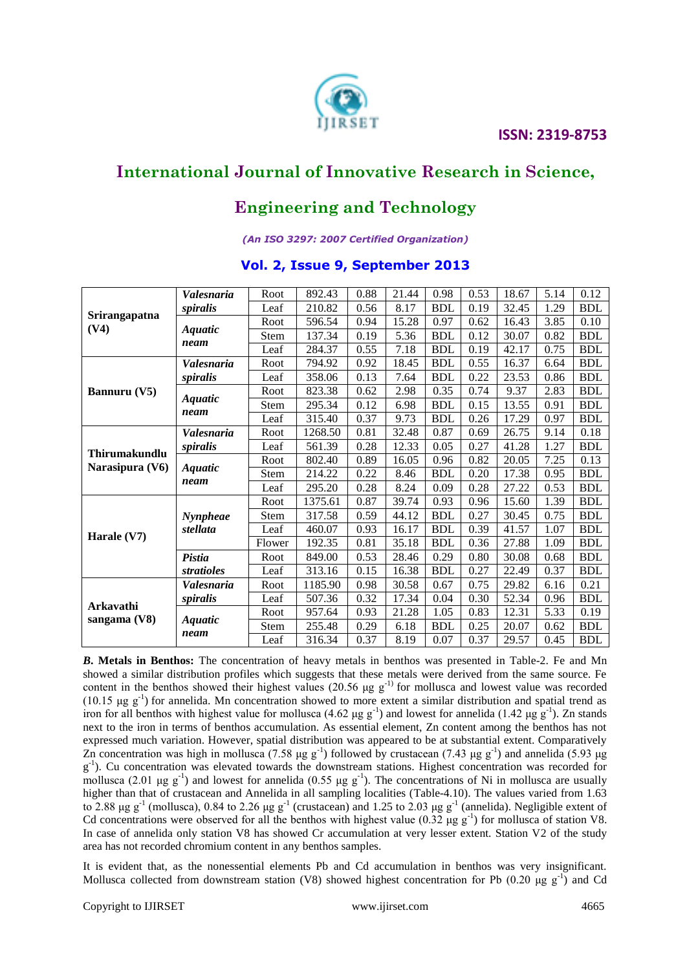#### **ISSN: 2319-8753**



### **International Journal of Innovative Research in Science,**

# **Engineering and Technology**

#### *(An ISO 3297: 2007 Certified Organization)*

### **Vol. 2, Issue 9, September 2013**

|                                  | <i><b>Valesnaria</b></i> | Root   | 892.43  | 0.88 | 21.44 | 0.98       | 0.53 | 18.67 | 5.14         | 0.12       |
|----------------------------------|--------------------------|--------|---------|------|-------|------------|------|-------|--------------|------------|
|                                  | spiralis                 | Leaf   | 210.82  | 0.56 | 8.17  | <b>BDL</b> | 0.19 | 32.45 | 1.29         | <b>BDL</b> |
| Srirangapatna<br>(V4)            |                          | Root   | 596.54  | 0.94 | 15.28 | 0.97       | 0.62 | 16.43 | 3.85         | 0.10       |
|                                  | <i>Aquatic</i>           | Stem   | 137.34  | 0.19 | 5.36  | <b>BDL</b> | 0.12 | 30.07 | 0.82         | <b>BDL</b> |
|                                  | neam                     | Leaf   | 284.37  | 0.55 | 7.18  | <b>BDL</b> | 0.19 | 42.17 | 0.75         | <b>BDL</b> |
|                                  | <b>Valesnaria</b>        | Root   | 794.92  | 0.92 | 18.45 | <b>BDL</b> | 0.55 | 16.37 | 6.64         | <b>BDL</b> |
|                                  | spiralis                 | Leaf   | 358.06  | 0.13 | 7.64  | <b>BDL</b> | 0.22 | 23.53 | 0.86         | <b>BDL</b> |
| <b>Bannuru</b> (V5)              | <b>Aquatic</b>           | Root   | 823.38  | 0.62 | 2.98  | 0.35       | 0.74 | 9.37  | 2.83         | <b>BDL</b> |
|                                  | neam                     | Stem   | 295.34  | 0.12 | 6.98  | <b>BDL</b> | 0.15 | 13.55 | 0.91         | <b>BDL</b> |
|                                  |                          | Leaf   | 315.40  | 0.37 | 9.73  | <b>BDL</b> | 0.26 | 17.29 | 0.97         | <b>BDL</b> |
| Thirumakundlu<br>Narasipura (V6) | <i><b>Valesnaria</b></i> | Root   | 1268.50 | 0.81 | 32.48 | 0.87       | 0.69 | 26.75 | 9.14         | 0.18       |
|                                  | spiralis                 | Leaf   | 561.39  | 0.28 | 12.33 | 0.05       | 0.27 | 41.28 | 1.27         | <b>BDL</b> |
|                                  | <b>Aquatic</b>           | Root   | 802.40  | 0.89 | 16.05 | 0.96       | 0.82 | 20.05 | 7.25         | 0.13       |
|                                  | neam                     | Stem   | 214.22  | 0.22 | 8.46  | <b>BDL</b> | 0.20 | 17.38 | 0.95         | <b>BDL</b> |
|                                  |                          | Leaf   | 295.20  | 0.28 | 8.24  | 0.09       | 0.28 | 27.22 | 0.53         | <b>BDL</b> |
|                                  |                          | Root   | 1375.61 | 0.87 | 39.74 | 0.93       | 0.96 | 15.60 | 1.39         | <b>BDL</b> |
|                                  | Nynpheae                 | Stem   | 317.58  | 0.59 | 44.12 | <b>BDL</b> | 0.27 | 30.45 | 0.75         | <b>BDL</b> |
| Harale $(V7)$                    | stellata                 | Leaf   | 460.07  | 0.93 | 16.17 | <b>BDL</b> | 0.39 | 41.57 | 1.07         | <b>BDL</b> |
|                                  |                          | Flower | 192.35  | 0.81 | 35.18 | <b>BDL</b> | 0.36 | 27.88 | 1.09         | <b>BDL</b> |
|                                  | Pistia                   | Root   | 849.00  | 0.53 | 28.46 | 0.29       | 0.80 | 30.08 | 0.68         | <b>BDL</b> |
|                                  | stratioles               | Leaf   | 313.16  | 0.15 | 16.38 | <b>BDL</b> | 0.27 | 22.49 | 0.37         | <b>BDL</b> |
| Arkavathi                        | <i><b>Valesnaria</b></i> | Root   | 1185.90 | 0.98 | 30.58 | 0.67       | 0.75 | 29.82 | 6.16         | 0.21       |
|                                  | spiralis                 | Leaf   | 507.36  | 0.32 | 17.34 | 0.04       | 0.30 | 52.34 | 0.96         | <b>BDL</b> |
| sangama (V8)                     | <b>Aquatic</b>           | Root   | 957.64  | 0.93 | 21.28 | 1.05       | 0.83 | 12.31 | 5.33         | 0.19       |
|                                  | neam                     | Stem   | 255.48  | 0.29 | 6.18  | <b>BDL</b> | 0.25 | 20.07 | 0.62<br>0.45 | <b>BDL</b> |
|                                  |                          | Leaf   | 316.34  | 0.37 | 8.19  | 0.07       | 0.37 | 29.57 |              | <b>BDL</b> |

*B***. Metals in Benthos:** The concentration of heavy metals in benthos was presented in Table-2. Fe and Mn showed a similar distribution profiles which suggests that these metals were derived from the same source. Fe content in the benthos showed their highest values (20.56  $\mu$ g g<sup>-1)</sup> for mollusca and lowest value was recorded (10.15  $\mu$ g g<sup>-1</sup>) for annelida. Mn concentration showed to more extent a similar distribution and spatial trend as iron for all benthos with highest value for mollusca  $(4.62 \text{ µg g}^{-1})$  and lowest for annelida  $(1.42 \text{ µg g}^{-1})$ . Zn stands next to the iron in terms of benthos accumulation. As essential element, Zn content among the benthos has not expressed much variation. However, spatial distribution was appeared to be at substantial extent. Comparatively Zn concentration was high in mollusca (7.58 μg g<sup>-1</sup>) followed by crustacean (7.43 μg g<sup>-1</sup>) and annelida (5.93 μg g<sup>-1</sup>). Cu concentration was elevated towards the downstream stations. Highest concentration was recorded for mollusca (2.01  $\mu$ g g<sup>-1</sup>) and lowest for annelida (0.55  $\mu$ g g<sup>-1</sup>). The concentrations of Ni in mollusca are usually higher than that of crustacean and Annelida in all sampling localities (Table-4.10). The values varied from 1.63 to 2.88 μg g<sup>-1</sup> (mollusca), 0.84 to 2.26 μg g<sup>-1</sup> (crustacean) and 1.25 to 2.03 μg g<sup>-1</sup> (annelida). Negligible extent of Cd concentrations were observed for all the benthos with highest value  $(0.32 \text{ µg g}^{-1})$  for mollusca of station V8. In case of annelida only station V8 has showed Cr accumulation at very lesser extent. Station V2 of the study area has not recorded chromium content in any benthos samples.

It is evident that, as the nonessential elements Pb and Cd accumulation in benthos was very insignificant. Mollusca collected from downstream station (V8) showed highest concentration for Pb (0.20  $\mu$ g g<sup>-1</sup>) and Cd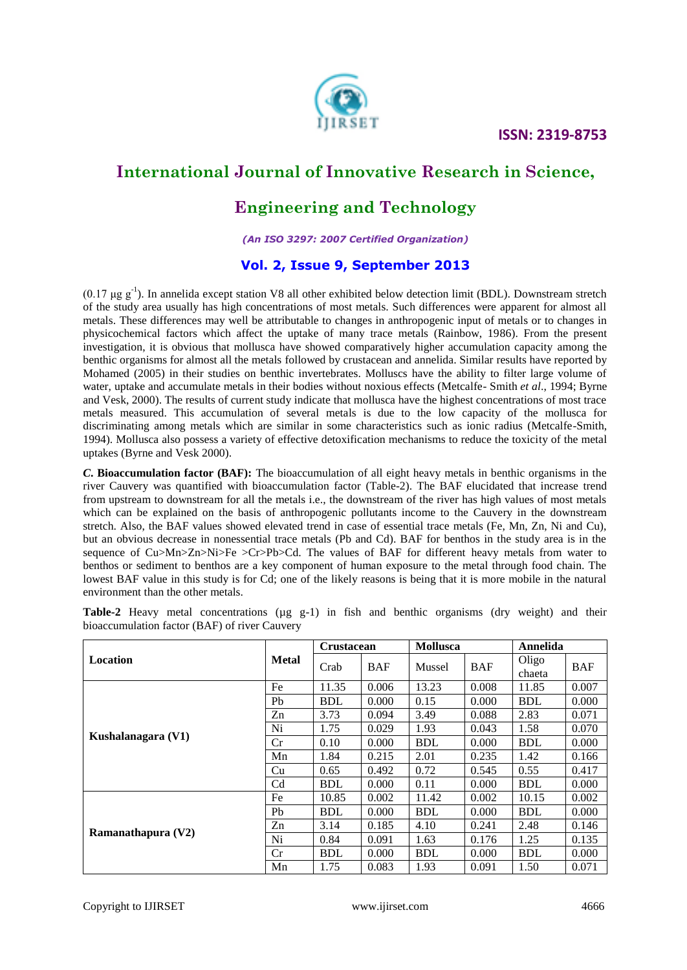

# **Engineering and Technology**

*(An ISO 3297: 2007 Certified Organization)*

### **Vol. 2, Issue 9, September 2013**

(0.17  $\mu$ g g<sup>-1</sup>). In annelida except station V8 all other exhibited below detection limit (BDL). Downstream stretch of the study area usually has high concentrations of most metals. Such differences were apparent for almost all metals. These differences may well be attributable to changes in anthropogenic input of metals or to changes in physicochemical factors which affect the uptake of many trace metals (Rainbow, 1986). From the present investigation, it is obvious that mollusca have showed comparatively higher accumulation capacity among the benthic organisms for almost all the metals followed by crustacean and annelida. Similar results have reported by Mohamed (2005) in their studies on benthic invertebrates. Molluscs have the ability to filter large volume of water, uptake and accumulate metals in their bodies without noxious effects (Metcalfe- Smith *et al*., 1994; Byrne and Vesk, 2000). The results of current study indicate that mollusca have the highest concentrations of most trace metals measured. This accumulation of several metals is due to the low capacity of the mollusca for discriminating among metals which are similar in some characteristics such as ionic radius (Metcalfe-Smith, 1994). Mollusca also possess a variety of effective detoxification mechanisms to reduce the toxicity of the metal uptakes (Byrne and Vesk 2000).

*C***. Bioaccumulation factor (BAF):** The bioaccumulation of all eight heavy metals in benthic organisms in the river Cauvery was quantified with bioaccumulation factor (Table-2). The BAF elucidated that increase trend from upstream to downstream for all the metals i.e., the downstream of the river has high values of most metals which can be explained on the basis of anthropogenic pollutants income to the Cauvery in the downstream stretch. Also, the BAF values showed elevated trend in case of essential trace metals (Fe, Mn, Zn, Ni and Cu), but an obvious decrease in nonessential trace metals (Pb and Cd). BAF for benthos in the study area is in the sequence of Cu>Mn>Zn>Ni>Fe >Cr>Pb>Cd. The values of BAF for different heavy metals from water to benthos or sediment to benthos are a key component of human exposure to the metal through food chain. The lowest BAF value in this study is for Cd; one of the likely reasons is being that it is more mobile in the natural environment than the other metals.

|                    |                | <b>Crustacean</b> |            | <b>Mollusca</b> |            | Annelida        |            |  |
|--------------------|----------------|-------------------|------------|-----------------|------------|-----------------|------------|--|
| Location           | <b>Metal</b>   | Crab              | <b>BAF</b> | Mussel          | <b>BAF</b> | Oligo<br>chaeta | <b>BAF</b> |  |
| Kushalanagara (V1) | Fe             | 11.35             | 0.006      | 13.23           | 0.008      | 11.85           | 0.007      |  |
|                    | Pb             | <b>BDL</b>        | 0.000      | 0.15            | 0.000      | <b>BDL</b>      | 0.000      |  |
|                    | Zn             | 3.73              | 0.094      | 3.49            | 0.088      | 2.83            | 0.071      |  |
|                    | Ni             | 1.75              | 0.029      | 1.93            | 0.043      | 1.58            | 0.070      |  |
|                    | Cr             | 0.10              | 0.000      | <b>BDL</b>      | 0.000      | <b>BDL</b>      | 0.000      |  |
|                    | Mn             | 1.84              | 0.215      | 2.01            | 0.235      | 1.42            | 0.166      |  |
|                    | Cu             | 0.65              | 0.492      | 0.72            | 0.545      | 0.55            | 0.417      |  |
|                    | C <sub>d</sub> | <b>BDL</b>        | 0.000      | 0.11            | 0.000      | <b>BDL</b>      | 0.000      |  |
| Ramanathapura (V2) | Fe             | 10.85             | 0.002      | 11.42           | 0.002      | 10.15           | 0.002      |  |
|                    | Pb             | BDL               | 0.000      | <b>BDL</b>      | 0.000      | <b>BDL</b>      | 0.000      |  |
|                    | Zn             | 3.14              | 0.185      | 4.10            | 0.241      | 2.48            | 0.146      |  |
|                    | Ni             | 0.84              | 0.091      | 1.63            | 0.176      | 1.25            | 0.135      |  |
|                    | Cr             | <b>BDL</b>        | 0.000      | <b>BDL</b>      | 0.000      | <b>BDL</b>      | 0.000      |  |
|                    | Mn             | 1.75              | 0.083      | 1.93            | 0.091      | 1.50            | 0.071      |  |

**Table-2** Heavy metal concentrations ( $\mu$ g g-1) in fish and benthic organisms (dry weight) and their bioaccumulation factor (BAF) of river Cauvery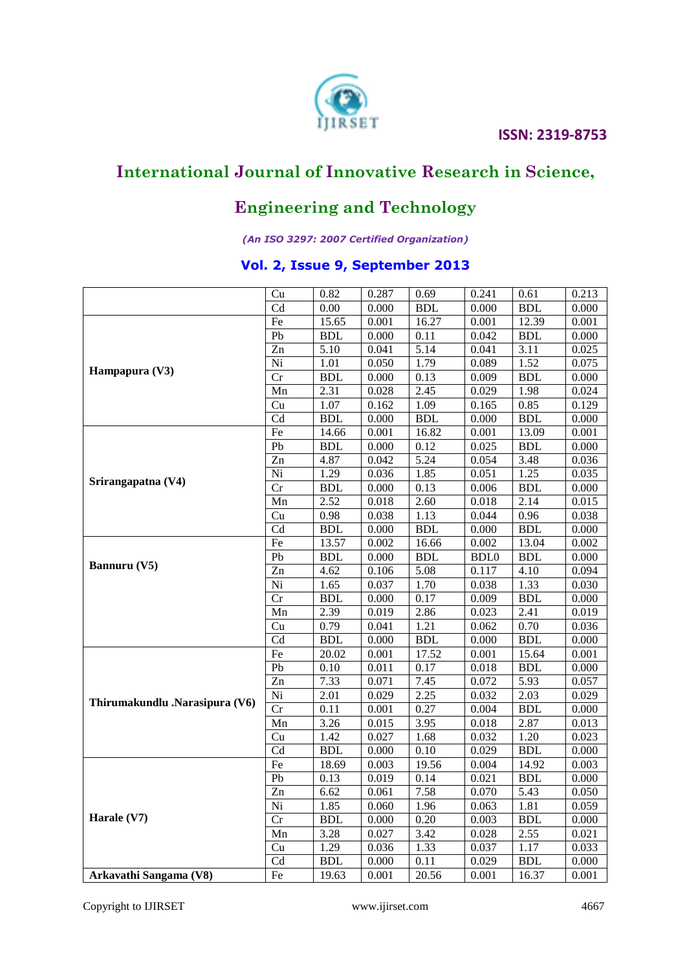# **IRSET ISSN: 2319-8753**



# **International Journal of Innovative Research in Science,**

# **Engineering and Technology**

#### *(An ISO 3297: 2007 Certified Organization)*

### **Vol. 2, Issue 9, September 2013**

|                                | Cu                     | 0.82       | 0.287 | 0.69        | 0.241       | 0.61       | 0.213 |
|--------------------------------|------------------------|------------|-------|-------------|-------------|------------|-------|
|                                | C <sub>d</sub>         | 0.00       | 0.000 | <b>BDL</b>  | 0.000       | <b>BDL</b> | 0.000 |
|                                | Fe                     | 15.65      | 0.001 | 16.27       | 0.001       | 12.39      | 0.001 |
|                                | Pb                     | <b>BDL</b> | 0.000 | 0.11        | 0.042       | <b>BDL</b> | 0.000 |
|                                | Zn                     | 5.10       | 0.041 | 5.14        | 0.041       | 3.11       | 0.025 |
|                                | $\overline{Ni}$        | 1.01       | 0.050 | 1.79        | 0.089       | 1.52       | 0.075 |
| Hampapura (V3)                 | Cr                     | <b>BDL</b> | 0.000 | 0.13        | 0.009       | <b>BDL</b> | 0.000 |
|                                | Mn                     | 2.31       | 0.028 | 2.45        | 0.029       | 1.98       | 0.024 |
|                                | Cu                     | 1.07       | 0.162 | 1.09        | 0.165       | 0.85       | 0.129 |
|                                | $\overline{Cd}$        | <b>BDL</b> | 0.000 | <b>BDL</b>  | 0.000       | <b>BDL</b> | 0.000 |
|                                | $\overline{Fe}$        | 14.66      | 0.001 | 16.82       | 0.001       | 13.09      | 0.001 |
|                                | ${\rm Pb}$             | <b>BDL</b> | 0.000 | 0.12        | 0.025       | <b>BDL</b> | 0.000 |
| Srirangapatna (V4)             | Zn                     | 4.87       | 0.042 | 5.24        | 0.054       | 3.48       | 0.036 |
|                                | $\overline{Ni}$        | 1.29       | 0.036 | 1.85        | 0.051       | 1.25       | 0.035 |
|                                | Cr                     | <b>BDL</b> | 0.000 | 0.13        | 0.006       | <b>BDL</b> | 0.000 |
|                                | Mn                     | 2.52       | 0.018 | 2.60        | 0.018       | 2.14       | 0.015 |
|                                | Cu                     | 0.98       | 0.038 | 1.13        | 0.044       | 0.96       | 0.038 |
|                                | Cd                     | <b>BDL</b> | 0.000 | <b>BDL</b>  | 0.000       | <b>BDL</b> | 0.000 |
|                                | $\rm Fe$               | 13.57      | 0.002 | 16.66       | 0.002       | 13.04      | 0.002 |
| Bannuru (V5)                   | ${\rm Pb}$             | <b>BDL</b> | 0.000 | <b>BDL</b>  | <b>BDL0</b> | <b>BDL</b> | 0.000 |
|                                | Zn                     | 4.62       | 0.106 | 5.08        | 0.117       | 4.10       | 0.094 |
|                                | Ni                     | 1.65       | 0.037 | 1.70        | 0.038       | 1.33       | 0.030 |
|                                | Cr                     | <b>BDL</b> | 0.000 | 0.17        | 0.009       | <b>BDL</b> | 0.000 |
|                                | Mn                     | 2.39       | 0.019 | 2.86        | 0.023       | 2.41       | 0.019 |
|                                | Cu                     | 0.79       | 0.041 | 1.21        | 0.062       | 0.70       | 0.036 |
|                                | $\overline{\text{Cd}}$ | <b>BDL</b> | 0.000 | ${\bf BDL}$ | 0.000       | <b>BDL</b> | 0.000 |
|                                | Fe                     | 20.02      | 0.001 | 17.52       | 0.001       | 15.64      | 0.001 |
|                                | Pb                     | 0.10       | 0.011 | 0.17        | 0.018       | <b>BDL</b> | 0.000 |
|                                | $\overline{Zn}$        | 7.33       | 0.071 | 7.45        | 0.072       | 5.93       | 0.057 |
|                                | Ni                     | 2.01       | 0.029 | 2.25        | 0.032       | 2.03       | 0.029 |
| Thirumakundlu .Narasipura (V6) | Cr                     | 0.11       | 0.001 | 0.27        | 0.004       | <b>BDL</b> | 0.000 |
|                                | Mn                     | 3.26       | 0.015 | 3.95        | 0.018       | 2.87       | 0.013 |
|                                | Cu                     | 1.42       | 0.027 | 1.68        | 0.032       | 1.20       | 0.023 |
|                                | $\overline{\text{Cd}}$ | <b>BDL</b> | 0.000 | 0.10        | 0.029       | <b>BDL</b> | 0.000 |
|                                | Fe                     | 18.69      | 0.003 | 19.56       | 0.004       | 14.92      | 0.003 |
|                                | Pb                     | 0.13       | 0.019 | 0.14        | 0.021       | <b>BDL</b> | 0.000 |
|                                | $\overline{Zn}$        | 6.62       | 0.061 | 7.58        | 0.070       | 5.43       | 0.050 |
|                                | Ni                     | 1.85       | 0.060 | 1.96        | 0.063       | 1.81       | 0.059 |
| Harale (V7)                    | $\overline{\text{Cr}}$ | <b>BDL</b> | 0.000 | 0.20        | 0.003       | <b>BDL</b> | 0.000 |
|                                | Mn                     | 3.28       | 0.027 | 3.42        | 0.028       | 2.55       | 0.021 |
|                                | Cu                     | 1.29       | 0.036 | 1.33        | 0.037       | 1.17       | 0.033 |
|                                | Cd                     | <b>BDL</b> | 0.000 | 0.11        | 0.029       | <b>BDL</b> | 0.000 |
| Arkavathi Sangama (V8)         | Fe                     | 19.63      | 0.001 | 20.56       | 0.001       | 16.37      | 0.001 |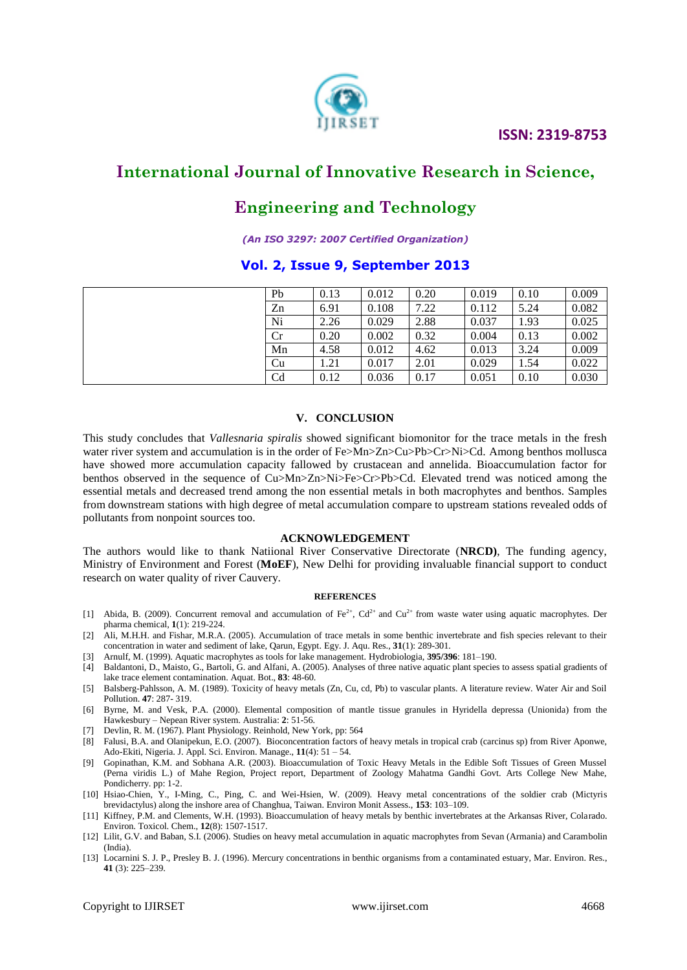

### **Engineering and Technology**

*(An ISO 3297: 2007 Certified Organization)*

#### **Vol. 2, Issue 9, September 2013**

|  | Pb | 0.13 | 0.012 | 0.20 | 0.019 | 0.10 | 0.009 |
|--|----|------|-------|------|-------|------|-------|
|  | Zn | 6.91 | 0.108 | 7.22 | 0.112 | 5.24 | 0.082 |
|  | Ni | 2.26 | 0.029 | 2.88 | 0.037 | 1.93 | 0.025 |
|  | Сr | 0.20 | 0.002 | 0.32 | 0.004 | 0.13 | 0.002 |
|  | Mn | 4.58 | 0.012 | 4.62 | 0.013 | 3.24 | 0.009 |
|  | Cu | 1.21 | 0.017 | 2.01 | 0.029 | 1.54 | 0.022 |
|  | Cd | 0.12 | 0.036 | 0.17 | 0.051 | 0.10 | 0.030 |

#### **V. CONCLUSION**

This study concludes that *Vallesnaria spiralis* showed significant biomonitor for the trace metals in the fresh water river system and accumulation is in the order of Fe>Mn>Zn>Cu>Pb>Cr>Ni>Cd. Among benthos mollusca have showed more accumulation capacity fallowed by crustacean and annelida. Bioaccumulation factor for benthos observed in the sequence of Cu>Mn>Zn>Ni>Fe>Cr>Pb>Cd. Elevated trend was noticed among the essential metals and decreased trend among the non essential metals in both macrophytes and benthos. Samples from downstream stations with high degree of metal accumulation compare to upstream stations revealed odds of pollutants from nonpoint sources too.

#### **ACKNOWLEDGEMENT**

The authors would like to thank Natiional River Conservative Directorate (**NRCD)**, The funding agency, Ministry of Environment and Forest (**MoEF**), New Delhi for providing invaluable financial support to conduct research on water quality of river Cauvery.

#### **REFERENCES**

- [1] Abida, B. (2009). Concurrent removal and accumulation of  $Fe^{2+}$ , Cd<sup>2+</sup> and Cu<sup>2+</sup> from waste water using aquatic macrophytes. Der pharma chemical, **1**(1): 219-224.
- [2] Ali, M.H.H. and Fishar, M.R.A. (2005). Accumulation of trace metals in some benthic invertebrate and fish species relevant to their concentration in water and sediment of lake, Qarun, Egypt. Egy. J. Aqu. Res., **31**(1): 289-301.
- [3] Arnulf, M. (1999). Aquatic macrophytes as tools for lake management. Hydrobiologia, **395/396**: 181–190.
- [4] Baldantoni, D., Maisto, G., Bartoli, G. and Alfani, A. (2005). Analyses of three native aquatic plant species to assess spatial gradients of lake trace element contamination. Aquat. Bot., **83**: 48-60.
- [5] Balsberg-Pahlsson, A. M. (1989). Toxicity of heavy metals (Zn, Cu, cd, Pb) to vascular plants. A literature review. Water Air and Soil Pollution. **47**: 287- 319.
- [6] Byrne, M. and Vesk, P.A. (2000). Elemental composition of mantle tissue granules in Hyridella depressa (Unionida) from the Hawkesbury – Nepean River system. Australia: **2**: 51-56.
- [7] Devlin, R. M. (1967). Plant Physiology. Reinhold, New York, pp: 564
- [8] Falusi, B.A. and Olanipekun, E.O. (2007). Bioconcentration factors of heavy metals in tropical crab (carcinus sp) from River Aponwe, Ado-Ekiti, Nigeria. J. Appl. Sci. Environ. Manage., **11**(4): 51 – 54.
- [9] Gopinathan, K.M. and Sobhana A.R. (2003). Bioaccumulation of Toxic Heavy Metals in the Edible Soft Tissues of Green Mussel (Perna viridis L.) of Mahe Region, Project report, Department of Zoology Mahatma Gandhi Govt. Arts College New Mahe, Pondicherry. pp: 1-2.
- [10] Hsiao-Chien, Y., I-Ming, C., Ping, C. and Wei-Hsien, W. (2009). Heavy metal concentrations of the soldier crab (Mictyris brevidactylus) along the inshore area of Changhua, Taiwan. Environ Monit Assess., **153**: 103–109.
- [11] Kiffney, P.M. and Clements, W.H. (1993). Bioaccumulation of heavy metals by benthic invertebrates at the Arkansas River, Colarado. Environ. Toxicol. Chem., **12**(8): 1507-1517.
- [12] Lilit, G.V. and Baban, S.I. (2006). Studies on heavy metal accumulation in aquatic macrophytes from Sevan (Armania) and Carambolin (India).
- [13] Locarnini S. J. P., Presley B. J. (1996). Mercury concentrations in benthic organisms from a contaminated estuary, Mar. Environ. Res., **41** (3): 225–239.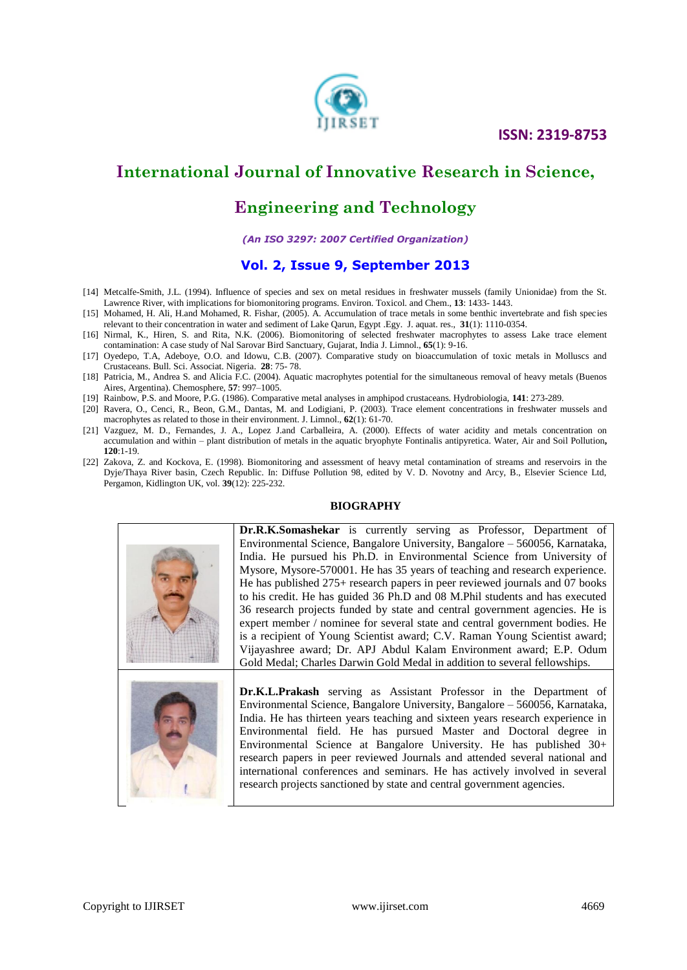

# **Engineering and Technology**

#### *(An ISO 3297: 2007 Certified Organization)*

#### **Vol. 2, Issue 9, September 2013**

- [14] Metcalfe-Smith, J.L. (1994). Influence of species and sex on metal residues in freshwater mussels (family Unionidae) from the St. Lawrence River, with implications for biomonitoring programs. Environ. Toxicol. and Chem., **13**: 1433- 1443.
- [15] Mohamed, H. Ali, H.and Mohamed, R. Fishar, (2005). A. Accumulation of trace metals in some benthic invertebrate and fish species relevant to their concentration in water and sediment of Lake Qarun, Egypt .Egy. J. aquat. res., **31**(1): 1110-0354.
- [16] Nirmal, K., Hiren, S. and Rita, N.K. (2006). Biomonitoring of selected freshwater macrophytes to assess Lake trace element contamination: A case study of Nal Sarovar Bird Sanctuary, Gujarat, India J. Limnol., **65**(1): 9-16.
- [17] Oyedepo, T.A, Adeboye, O.O. and Idowu, C.B. (2007). Comparative study on bioaccumulation of toxic metals in Molluscs and Crustaceans. Bull. Sci. Associat. Nigeria. **28**: 75- 78.
- [18] Patricia, M., Andrea S. and Alicia F.C. (2004). Aquatic macrophytes potential for the simultaneous removal of heavy metals (Buenos Aires, Argentina). Chemosphere, **57**: 997–1005.
- [19] Rainbow, P.S. and Moore, P.G. (1986). Comparative metal analyses in amphipod crustaceans. Hydrobiologia, **141**: 273-289.
- [20] Ravera, O., Cenci, R., Beon, G.M., Dantas, M. and Lodigiani, P. (2003). Trace element concentrations in freshwater mussels and macrophytes as related to those in their environment. J. Limnol., **62**(1): 61-70.
- [21] Vazguez, M. D., Fernandes, J. A., Lopez J.and Carballeira, A. (2000). Effects of water acidity and metals concentration on accumulation and within – plant distribution of metals in the aquatic bryophyte Fontinalis antipyretica. Water, Air and Soil Pollution**, 120**:1-19.
- [22] Zakova, Z. and Kockova, E. (1998). Biomonitoring and assessment of heavy metal contamination of streams and reservoirs in the Dyje/Thaya River basin, Czech Republic. In: Diffuse Pollution 98, edited by V. D. Novotny and Arcy, B., Elsevier Science Ltd, Pergamon, Kidlington UK, vol. **39**(12): 225-232.

#### **BIOGRAPHY**